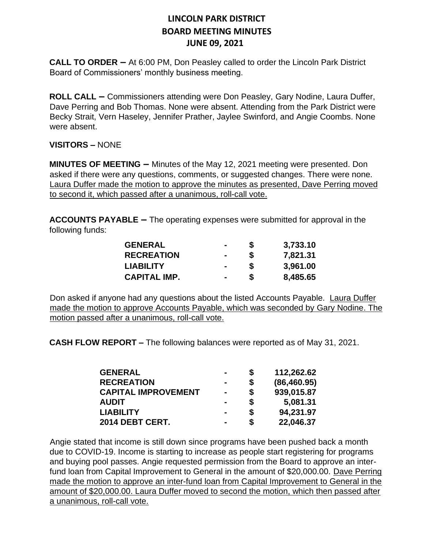**CALL TO ORDER –** At 6:00 PM, Don Peasley called to order the Lincoln Park District Board of Commissioners' monthly business meeting.

**ROLL CALL –** Commissioners attending were Don Peasley, Gary Nodine, Laura Duffer, Dave Perring and Bob Thomas. None were absent. Attending from the Park District were Becky Strait, Vern Haseley, Jennifer Prather, Jaylee Swinford, and Angie Coombs. None were absent.

#### **VISITORS –** NONE

**MINUTES OF MEETING –** Minutes of the May 12, 2021 meeting were presented. Don asked if there were any questions, comments, or suggested changes. There were none. Laura Duffer made the motion to approve the minutes as presented, Dave Perring moved to second it, which passed after a unanimous, roll-call vote.

**ACCOUNTS PAYABLE –** The operating expenses were submitted for approval in the following funds:

| <b>GENERAL</b><br><b>RECREATION</b> |                | S | 3,733.10<br>7,821.31 |
|-------------------------------------|----------------|---|----------------------|
|                                     | $\blacksquare$ |   |                      |
| <b>LIABILITY</b>                    | $\blacksquare$ | S | 3,961.00             |
| <b>CAPITAL IMP.</b>                 | $\blacksquare$ |   | 8,485.65             |

Don asked if anyone had any questions about the listed Accounts Payable. Laura Duffer made the motion to approve Accounts Payable, which was seconded by Gary Nodine. The motion passed after a unanimous, roll-call vote.

**CASH FLOW REPORT –** The following balances were reported as of May 31, 2021.

| <b>GENERAL</b>             | $\blacksquare$ | S  | 112,262.62   |
|----------------------------|----------------|----|--------------|
| <b>RECREATION</b>          |                | S  | (86, 460.95) |
| <b>CAPITAL IMPROVEMENT</b> | $\blacksquare$ | \$ | 939,015.87   |
| <b>AUDIT</b>               | $\blacksquare$ | \$ | 5,081.31     |
| <b>LIABILITY</b>           | $\blacksquare$ | S  | 94,231.97    |
| 2014 DEBT CERT.            | $\blacksquare$ | \$ | 22,046.37    |

Angie stated that income is still down since programs have been pushed back a month due to COVID-19. Income is starting to increase as people start registering for programs and buying pool passes. Angie requested permission from the Board to approve an interfund loan from Capital Improvement to General in the amount of \$20,000.00. Dave Perring made the motion to approve an inter-fund loan from Capital Improvement to General in the amount of \$20,000.00. Laura Duffer moved to second the motion, which then passed after a unanimous, roll-call vote.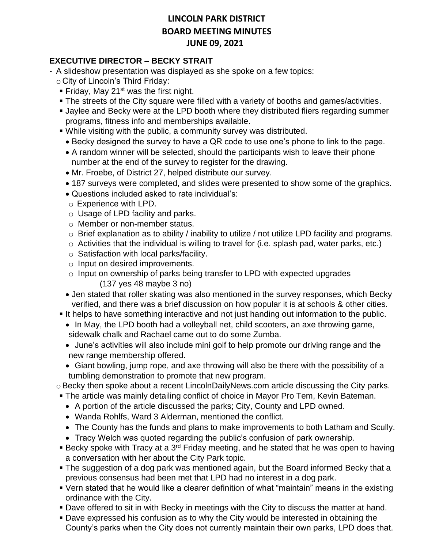#### **EXECUTIVE DIRECTOR – BECKY STRAIT**

- A slideshow presentation was displayed as she spoke on a few topics:
	- o City of Lincoln's Third Friday:
	- **Fiday, May 21<sup>st</sup> was the first night.**
	- The streets of the City square were filled with a variety of booths and games/activities.
	- **.** Jaylee and Becky were at the LPD booth where they distributed fliers regarding summer programs, fitness info and memberships available.
	- While visiting with the public, a community survey was distributed.
		- Becky designed the survey to have a QR code to use one's phone to link to the page.
		- A random winner will be selected, should the participants wish to leave their phone number at the end of the survey to register for the drawing.
		- Mr. Froebe, of District 27, helped distribute our survey.
		- 187 surveys were completed, and slides were presented to show some of the graphics.
		- Questions included asked to rate individual's:
		- o Experience with LPD.
		- o Usage of LPD facility and parks.
		- o Member or non-member status.
		- o Brief explanation as to ability / inability to utilize / not utilize LPD facility and programs.
		- o Activities that the individual is willing to travel for (i.e. splash pad, water parks, etc.)
		- o Satisfaction with local parks/facility.
		- o Input on desired improvements.
		- o Input on ownership of parks being transfer to LPD with expected upgrades (137 yes 48 maybe 3 no)
		- Jen stated that roller skating was also mentioned in the survey responses, which Becky verified, and there was a brief discussion on how popular it is at schools & other cities.
	- **.** It helps to have something interactive and not just handing out information to the public.
		- In May, the LPD booth had a volleyball net, child scooters, an axe throwing game, sidewalk chalk and Rachael came out to do some Zumba.
		- June's activities will also include mini golf to help promote our driving range and the new range membership offered.
		- Giant bowling, jump rope, and axe throwing will also be there with the possibility of a tumbling demonstration to promote that new program.

o Becky then spoke about a recent LincolnDailyNews.com article discussing the City parks.

- **The article was mainly detailing conflict of choice in Mayor Pro Tem, Kevin Bateman.** 
	- A portion of the article discussed the parks; City, County and LPD owned.
	- Wanda Rohlfs, Ward 3 Alderman, mentioned the conflict.
	- The County has the funds and plans to make improvements to both Latham and Scully.
	- Tracy Welch was quoted regarding the public's confusion of park ownership.
- **E** Becky spoke with Tracy at a 3<sup>rd</sup> Friday meeting, and he stated that he was open to having a conversation with her about the City Park topic.
- The suggestion of a dog park was mentioned again, but the Board informed Becky that a previous consensus had been met that LPD had no interest in a dog park.
- Vern stated that he would like a clearer definition of what "maintain" means in the existing ordinance with the City.
- **Dave offered to sit in with Becky in meetings with the City to discuss the matter at hand.**
- Dave expressed his confusion as to why the City would be interested in obtaining the County's parks when the City does not currently maintain their own parks, LPD does that.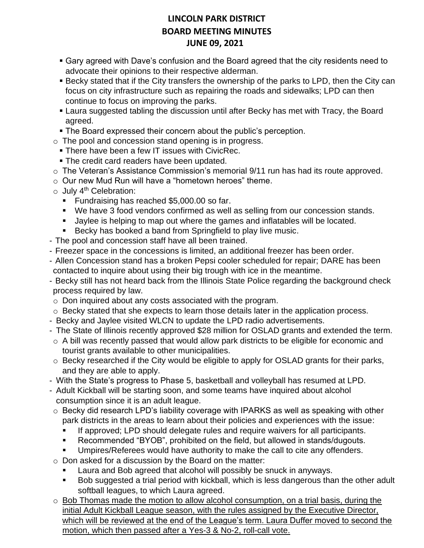- Gary agreed with Dave's confusion and the Board agreed that the city residents need to advocate their opinions to their respective alderman.
- **EXECT SECT IS EXECT FOR THE CITY THAT IS CONTED FIGURE IS CONTED**, then the City can focus on city infrastructure such as repairing the roads and sidewalks; LPD can then continue to focus on improving the parks.
- **Example 1** Laura suggested tabling the discussion until after Becky has met with Tracy, the Board agreed.
- **The Board expressed their concern about the public's perception.**
- $\circ$  The pool and concession stand opening is in progress.
	- **There have been a few IT issues with CivicRec.**
	- **The credit card readers have been updated.**
- o The Veteran's Assistance Commission's memorial 9/11 run has had its route approved.
- $\circ$  Our new Mud Run will have a "hometown heroes" theme.
- $\circ$  July 4<sup>th</sup> Celebration:
	- Fundraising has reached \$5,000.00 so far.
	- We have 3 food vendors confirmed as well as selling from our concession stands.
	- Jaylee is helping to map out where the games and inflatables will be located.
	- Becky has booked a band from Springfield to play live music.
- The pool and concession staff have all been trained.
- Freezer space in the concessions is limited, an additional freezer has been order.
- Allen Concession stand has a broken Pepsi cooler scheduled for repair; DARE has been contacted to inquire about using their big trough with ice in the meantime.
- Becky still has not heard back from the Illinois State Police regarding the background check process required by law.
- o Don inquired about any costs associated with the program.
- o Becky stated that she expects to learn those details later in the application process.
- Becky and Jaylee visited WLCN to update the LPD radio advertisements.
- The State of Illinois recently approved \$28 million for OSLAD grants and extended the term.
- o A bill was recently passed that would allow park districts to be eligible for economic and tourist grants available to other municipalities.
- o Becky researched if the City would be eligible to apply for OSLAD grants for their parks, and they are able to apply.
- With the State's progress to Phase 5, basketball and volleyball has resumed at LPD.
- Adult Kickball will be starting soon, and some teams have inquired about alcohol consumption since it is an adult league.
- o Becky did research LPD's liability coverage with IPARKS as well as speaking with other park districts in the areas to learn about their policies and experiences with the issue:
	- If approved; LPD should delegate rules and require waivers for all participants.
	- Recommended "BYOB", prohibited on the field, but allowed in stands/dugouts.
	- Umpires/Referees would have authority to make the call to cite any offenders.
- $\circ$  Don asked for a discussion by the Board on the matter:
	- Laura and Bob agreed that alcohol will possibly be snuck in anyways.
	- Bob suggested a trial period with kickball, which is less dangerous than the other adult softball leagues, to which Laura agreed.
- o Bob Thomas made the motion to allow alcohol consumption, on a trial basis, during the initial Adult Kickball League season, with the rules assigned by the Executive Director, which will be reviewed at the end of the League's term. Laura Duffer moved to second the motion, which then passed after a Yes-3 & No-2, roll-call vote.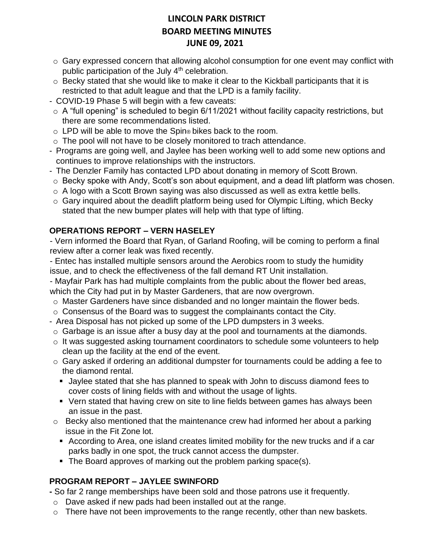- o Gary expressed concern that allowing alcohol consumption for one event may conflict with public participation of the July 4<sup>th</sup> celebration.
- o Becky stated that she would like to make it clear to the Kickball participants that it is restricted to that adult league and that the LPD is a family facility.
- COVID-19 Phase 5 will begin with a few caveats:
- $\circ$  A "full opening" is scheduled to begin 6/11/2021 without facility capacity restrictions, but there are some recommendations listed.
- o LPD will be able to move the Spin® bikes back to the room.
- $\circ$  The pool will not have to be closely monitored to trach attendance.
- Programs are going well, and Jaylee has been working well to add some new options and continues to improve relationships with the instructors.
- The Denzler Family has contacted LPD about donating in memory of Scott Brown.
- o Becky spoke with Andy, Scott's son about equipment, and a dead lift platform was chosen.
- $\circ$  A logo with a Scott Brown saying was also discussed as well as extra kettle bells.
- $\circ$  Gary inquired about the deadlift platform being used for Olympic Lifting, which Becky stated that the new bumper plates will help with that type of lifting.

### **OPERATIONS REPORT – VERN HASELEY**

- Vern informed the Board that Ryan, of Garland Roofing, will be coming to perform a final review after a corner leak was fixed recently.

- Entec has installed multiple sensors around the Aerobics room to study the humidity issue, and to check the effectiveness of the fall demand RT Unit installation.

- Mayfair Park has had multiple complaints from the public about the flower bed areas, which the City had put in by Master Gardeners, that are now overgrown.

- o Master Gardeners have since disbanded and no longer maintain the flower beds.
- $\circ$  Consensus of the Board was to suggest the complainants contact the City.
- Area Disposal has not picked up some of the LPD dumpsters in 3 weeks.
- $\circ$  Garbage is an issue after a busy day at the pool and tournaments at the diamonds.
- o It was suggested asking tournament coordinators to schedule some volunteers to help clean up the facility at the end of the event.
- o Gary asked if ordering an additional dumpster for tournaments could be adding a fee to the diamond rental.
	- Jaylee stated that she has planned to speak with John to discuss diamond fees to cover costs of lining fields with and without the usage of lights.
	- Vern stated that having crew on site to line fields between games has always been an issue in the past.
- $\circ$  Becky also mentioned that the maintenance crew had informed her about a parking issue in the Fit Zone lot.
	- According to Area, one island creates limited mobility for the new trucks and if a car parks badly in one spot, the truck cannot access the dumpster.
	- The Board approves of marking out the problem parking space(s).

### **PROGRAM REPORT – JAYLEE SWINFORD**

**-** So far 2 range memberships have been sold and those patrons use it frequently.

- o Dave asked if new pads had been installed out at the range.
- $\circ$  There have not been improvements to the range recently, other than new baskets.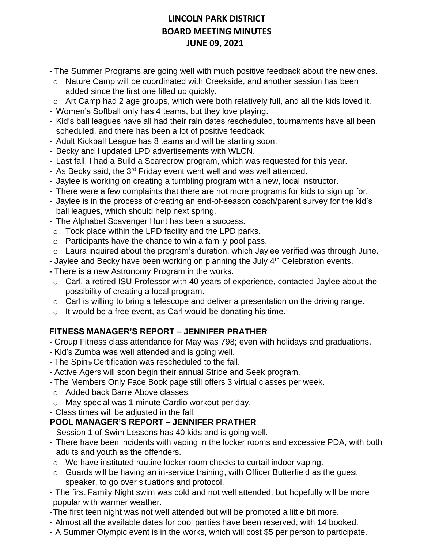- **-** The Summer Programs are going well with much positive feedback about the new ones.
- $\circ$  Nature Camp will be coordinated with Creekside, and another session has been added since the first one filled up quickly.

o Art Camp had 2 age groups, which were both relatively full, and all the kids loved it.

- Women's Softball only has 4 teams, but they love playing.
- Kid's ball leagues have all had their rain dates rescheduled, tournaments have all been scheduled, and there has been a lot of positive feedback.
- Adult Kickball League has 8 teams and will be starting soon.
- Becky and I updated LPD advertisements with WLCN.
- Last fall, I had a Build a Scarecrow program, which was requested for this year.
- As Becky said, the  $3^{rd}$  Friday event went well and was well attended.
- Jaylee is working on creating a tumbling program with a new, local instructor.
- There were a few complaints that there are not more programs for kids to sign up for.
- Jaylee is in the process of creating an end-of-season coach/parent survey for the kid's ball leagues, which should help next spring.
- The Alphabet Scavenger Hunt has been a success.
- $\circ$  Took place within the LPD facility and the LPD parks.
- o Participants have the chance to win a family pool pass.
- $\circ$  Laura inquired about the program's duration, which Jaylee verified was through June.
- Jaylee and Becky have been working on planning the July 4<sup>th</sup> Celebration events.
- **-** There is a new Astronomy Program in the works.
- o Carl, a retired ISU Professor with 40 years of experience, contacted Jaylee about the possibility of creating a local program.
- $\circ$  Carl is willing to bring a telescope and deliver a presentation on the driving range.
- $\circ$  It would be a free event, as Carl would be donating his time.

#### **FITNESS MANAGER'S REPORT – JENNIFER PRATHER**

- Group Fitness class attendance for May was 798; even with holidays and graduations.
- Kid's Zumba was well attended and is going well.
- The Spin® Certification was rescheduled to the fall.
- Active Agers will soon begin their annual Stride and Seek program.
- The Members Only Face Book page still offers 3 virtual classes per week.
- o Added back Barre Above classes.
- o May special was 1 minute Cardio workout per day.
- Class times will be adjusted in the fall.

### **POOL MANAGER'S REPORT – JENNIFER PRATHER**

- Session 1 of Swim Lessons has 40 kids and is going well.
- There have been incidents with vaping in the locker rooms and excessive PDA, with both adults and youth as the offenders.
- $\circ$  We have instituted routine locker room checks to curtail indoor vaping.
- $\circ$  Guards will be having an in-service training, with Officer Butterfield as the quest speaker, to go over situations and protocol.
- The first Family Night swim was cold and not well attended, but hopefully will be more popular with warmer weather.
- -The first teen night was not well attended but will be promoted a little bit more.
- Almost all the available dates for pool parties have been reserved, with 14 booked.
- A Summer Olympic event is in the works, which will cost \$5 per person to participate.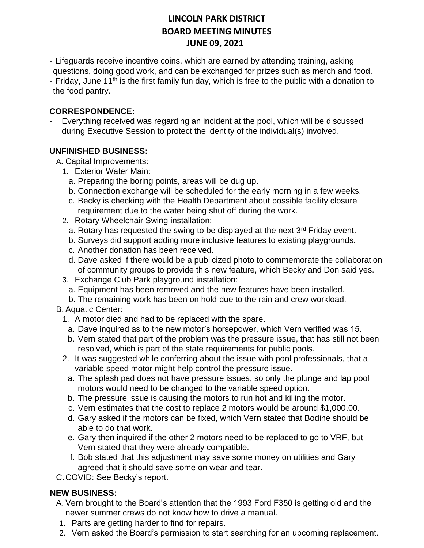- Lifeguards receive incentive coins, which are earned by attending training, asking questions, doing good work, and can be exchanged for prizes such as merch and food.
- Friday, June 11<sup>th</sup> is the first family fun day, which is free to the public with a donation to the food pantry.

### **CORRESPONDENCE:**

Everything received was regarding an incident at the pool, which will be discussed during Executive Session to protect the identity of the individual(s) involved.

#### **UNFINISHED BUSINESS:**

A**.** Capital Improvements:

- 1. Exterior Water Main:
	- a. Preparing the boring points, areas will be dug up.
	- b. Connection exchange will be scheduled for the early morning in a few weeks.
	- c. Becky is checking with the Health Department about possible facility closure requirement due to the water being shut off during the work.
- 2. Rotary Wheelchair Swing installation:
	- a. Rotary has requested the swing to be displayed at the next 3<sup>rd</sup> Friday event.
	- b. Surveys did support adding more inclusive features to existing playgrounds.
	- c. Another donation has been received.
	- d. Dave asked if there would be a publicized photo to commemorate the collaboration of community groups to provide this new feature, which Becky and Don said yes.
- 3. Exchange Club Park playground installation:
	- a. Equipment has been removed and the new features have been installed.
	- b. The remaining work has been on hold due to the rain and crew workload.
- B. Aquatic Center:
	- 1. A motor died and had to be replaced with the spare.
	- a. Dave inquired as to the new motor's horsepower, which Vern verified was 15.
	- b. Vern stated that part of the problem was the pressure issue, that has still not been resolved, which is part of the state requirements for public pools.
	- 2. It was suggested while conferring about the issue with pool professionals, that a variable speed motor might help control the pressure issue.
		- a. The splash pad does not have pressure issues, so only the plunge and lap pool motors would need to be changed to the variable speed option.
		- b. The pressure issue is causing the motors to run hot and killing the motor.
		- c. Vern estimates that the cost to replace 2 motors would be around \$1,000.00.
		- d. Gary asked if the motors can be fixed, which Vern stated that Bodine should be able to do that work.
		- e. Gary then inquired if the other 2 motors need to be replaced to go to VRF, but Vern stated that they were already compatible.
		- f. Bob stated that this adjustment may save some money on utilities and Gary agreed that it should save some on wear and tear.
- C.COVID: See Becky's report.

#### **NEW BUSINESS:**

- A. Vern brought to the Board's attention that the 1993 Ford F350 is getting old and the newer summer crews do not know how to drive a manual.
- 1. Parts are getting harder to find for repairs.
- 2. Vern asked the Board's permission to start searching for an upcoming replacement.